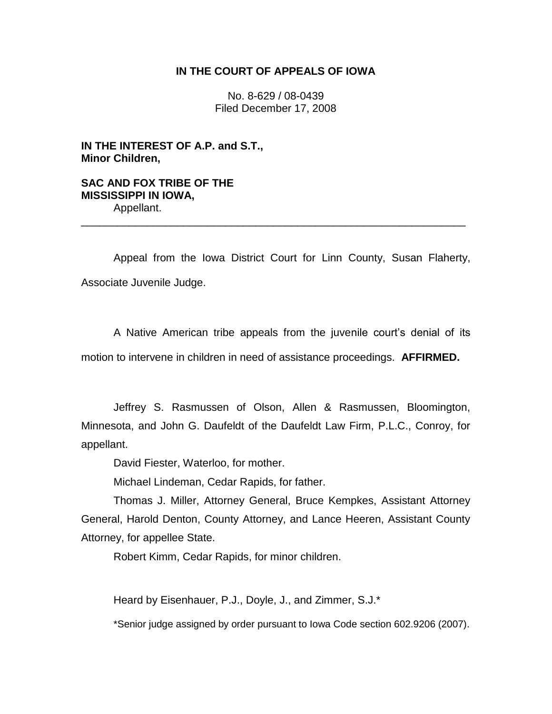## **IN THE COURT OF APPEALS OF IOWA**

No. 8-629 / 08-0439 Filed December 17, 2008

**IN THE INTEREST OF A.P. and S.T., Minor Children,**

**SAC AND FOX TRIBE OF THE MISSISSIPPI IN IOWA,** Appellant.

Appeal from the Iowa District Court for Linn County, Susan Flaherty, Associate Juvenile Judge.

\_\_\_\_\_\_\_\_\_\_\_\_\_\_\_\_\_\_\_\_\_\_\_\_\_\_\_\_\_\_\_\_\_\_\_\_\_\_\_\_\_\_\_\_\_\_\_\_\_\_\_\_\_\_\_\_\_\_\_\_\_\_\_\_

A Native American tribe appeals from the juvenile court's denial of its motion to intervene in children in need of assistance proceedings. **AFFIRMED.**

Jeffrey S. Rasmussen of Olson, Allen & Rasmussen, Bloomington, Minnesota, and John G. Daufeldt of the Daufeldt Law Firm, P.L.C., Conroy, for appellant.

David Fiester, Waterloo, for mother.

Michael Lindeman, Cedar Rapids, for father.

Thomas J. Miller, Attorney General, Bruce Kempkes, Assistant Attorney General, Harold Denton, County Attorney, and Lance Heeren, Assistant County Attorney, for appellee State.

Robert Kimm, Cedar Rapids, for minor children.

Heard by Eisenhauer, P.J., Doyle, J., and Zimmer, S.J.\*

\*Senior judge assigned by order pursuant to Iowa Code section 602.9206 (2007).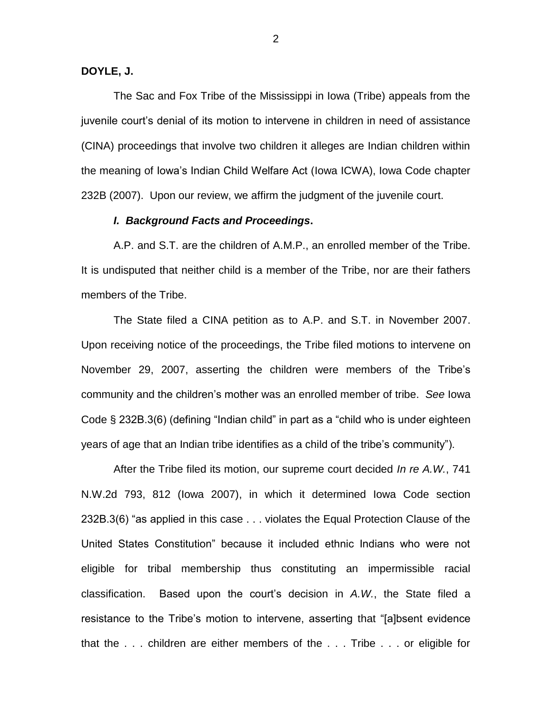#### **DOYLE, J.**

The Sac and Fox Tribe of the Mississippi in Iowa (Tribe) appeals from the juvenile court"s denial of its motion to intervene in children in need of assistance (CINA) proceedings that involve two children it alleges are Indian children within the meaning of Iowa"s Indian Child Welfare Act (Iowa ICWA), Iowa Code chapter 232B (2007). Upon our review, we affirm the judgment of the juvenile court.

### *I. Background Facts and Proceedings***.**

A.P. and S.T. are the children of A.M.P., an enrolled member of the Tribe. It is undisputed that neither child is a member of the Tribe, nor are their fathers members of the Tribe.

The State filed a CINA petition as to A.P. and S.T. in November 2007. Upon receiving notice of the proceedings, the Tribe filed motions to intervene on November 29, 2007, asserting the children were members of the Tribe"s community and the children"s mother was an enrolled member of tribe. *See* Iowa Code § 232B.3(6) (defining "Indian child" in part as a "child who is under eighteen years of age that an Indian tribe identifies as a child of the tribe"s community").

After the Tribe filed its motion, our supreme court decided *In re A.W.*, 741 N.W.2d 793, 812 (Iowa 2007), in which it determined Iowa Code section 232B.3(6) "as applied in this case . . . violates the Equal Protection Clause of the United States Constitution" because it included ethnic Indians who were not eligible for tribal membership thus constituting an impermissible racial classification. Based upon the court"s decision in *A.W.*, the State filed a resistance to the Tribe"s motion to intervene, asserting that "[a]bsent evidence that the . . . children are either members of the . . . Tribe . . . or eligible for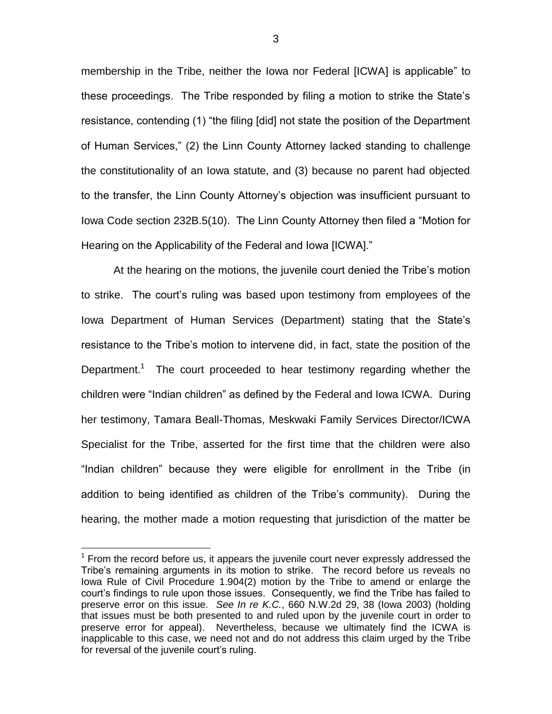membership in the Tribe, neither the Iowa nor Federal [ICWA] is applicable" to these proceedings. The Tribe responded by filing a motion to strike the State"s resistance, contending (1) "the filing [did] not state the position of the Department of Human Services," (2) the Linn County Attorney lacked standing to challenge the constitutionality of an Iowa statute, and (3) because no parent had objected to the transfer, the Linn County Attorney"s objection was insufficient pursuant to Iowa Code section 232B.5(10). The Linn County Attorney then filed a "Motion for Hearing on the Applicability of the Federal and Iowa [ICWA]."

At the hearing on the motions, the juvenile court denied the Tribe"s motion to strike. The court"s ruling was based upon testimony from employees of the Iowa Department of Human Services (Department) stating that the State"s resistance to the Tribe"s motion to intervene did, in fact, state the position of the Department.<sup>1</sup> The court proceeded to hear testimony regarding whether the children were "Indian children" as defined by the Federal and Iowa ICWA. During her testimony, Tamara Beall-Thomas, Meskwaki Family Services Director/ICWA Specialist for the Tribe, asserted for the first time that the children were also "Indian children" because they were eligible for enrollment in the Tribe (in addition to being identified as children of the Tribe"s community). During the hearing, the mother made a motion requesting that jurisdiction of the matter be

 $\overline{a}$ 

3

 $1$  From the record before us, it appears the juvenile court never expressly addressed the Tribe"s remaining arguments in its motion to strike. The record before us reveals no Iowa Rule of Civil Procedure 1.904(2) motion by the Tribe to amend or enlarge the court"s findings to rule upon those issues. Consequently, we find the Tribe has failed to preserve error on this issue. *See In re K.C.*, 660 N.W.2d 29, 38 (Iowa 2003) (holding that issues must be both presented to and ruled upon by the juvenile court in order to preserve error for appeal). Nevertheless, because we ultimately find the ICWA is inapplicable to this case, we need not and do not address this claim urged by the Tribe for reversal of the juvenile court's ruling.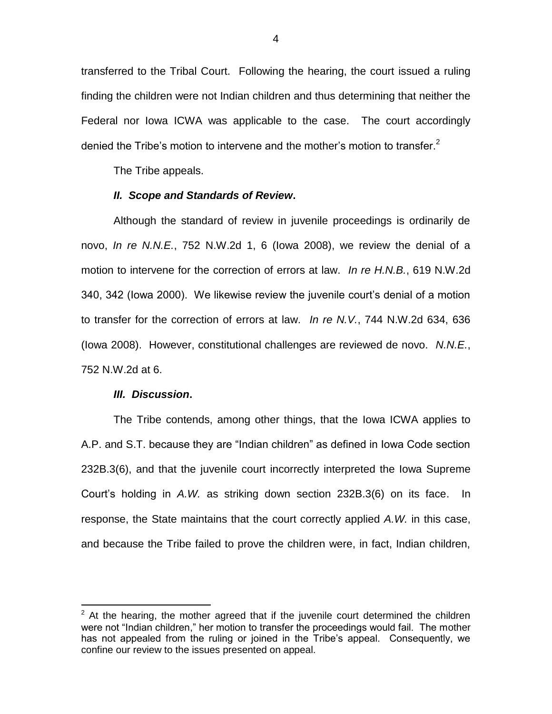transferred to the Tribal Court. Following the hearing, the court issued a ruling finding the children were not Indian children and thus determining that neither the Federal nor Iowa ICWA was applicable to the case. The court accordingly denied the Tribe's motion to intervene and the mother's motion to transfer.<sup>2</sup>

The Tribe appeals.

#### *II. Scope and Standards of Review***.**

Although the standard of review in juvenile proceedings is ordinarily de novo, *In re N.N.E.*, 752 N.W.2d 1, 6 (Iowa 2008), we review the denial of a motion to intervene for the correction of errors at law. *In re H.N.B.*, 619 N.W.2d 340, 342 (Iowa 2000). We likewise review the juvenile court"s denial of a motion to transfer for the correction of errors at law. *In re N.V.*, 744 N.W.2d 634, 636 (Iowa 2008). However, constitutional challenges are reviewed de novo. *N.N.E.*, 752 N.W.2d at 6.

#### *III. Discussion***.**

 $\overline{a}$ 

The Tribe contends, among other things, that the Iowa ICWA applies to A.P. and S.T. because they are "Indian children" as defined in Iowa Code section 232B.3(6), and that the juvenile court incorrectly interpreted the Iowa Supreme Court"s holding in *A.W.* as striking down section 232B.3(6) on its face. In response, the State maintains that the court correctly applied *A.W.* in this case, and because the Tribe failed to prove the children were, in fact, Indian children,

 $2$  At the hearing, the mother agreed that if the juvenile court determined the children were not "Indian children," her motion to transfer the proceedings would fail. The mother has not appealed from the ruling or joined in the Tribe's appeal. Consequently, we confine our review to the issues presented on appeal.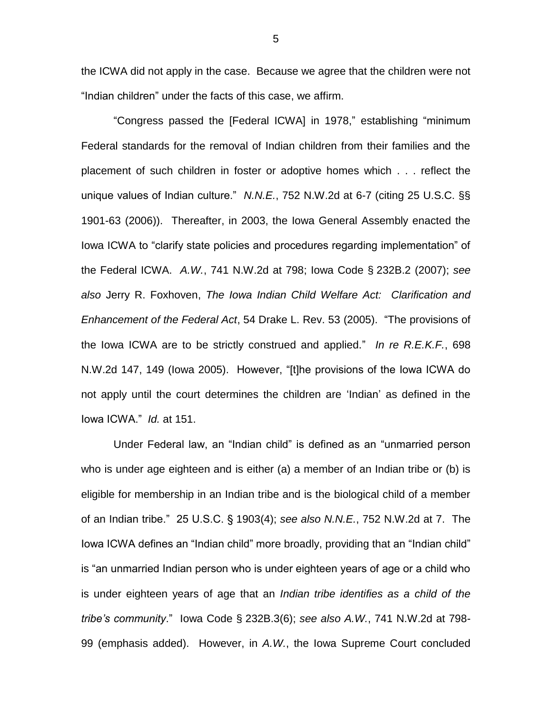the ICWA did not apply in the case. Because we agree that the children were not "Indian children" under the facts of this case, we affirm.

"Congress passed the [Federal ICWA] in 1978," establishing "minimum Federal standards for the removal of Indian children from their families and the placement of such children in foster or adoptive homes which . . . reflect the unique values of Indian culture." *N.N.E.*, 752 N.W.2d at 6-7 (citing 25 U.S.C. §§ 1901-63 (2006)). Thereafter, in 2003, the Iowa General Assembly enacted the Iowa ICWA to "clarify state policies and procedures regarding implementation" of the Federal ICWA. *A.W.*, 741 N.W.2d at 798; Iowa Code § 232B.2 (2007); *see also* Jerry R. Foxhoven, *The Iowa Indian Child Welfare Act: Clarification and Enhancement of the Federal Act*, 54 Drake L. Rev. 53 (2005). "The provisions of the Iowa ICWA are to be strictly construed and applied." *In re R.E.K.F.*, 698 N.W.2d 147, 149 (Iowa 2005). However, "[t]he provisions of the Iowa ICWA do not apply until the court determines the children are "Indian" as defined in the Iowa ICWA." *Id.* at 151.

Under Federal law, an "Indian child" is defined as an "unmarried person who is under age eighteen and is either (a) a member of an Indian tribe or (b) is eligible for membership in an Indian tribe and is the biological child of a member of an Indian tribe." 25 U.S.C. § 1903(4); *see also N.N.E.*, 752 N.W.2d at 7. The Iowa ICWA defines an "Indian child" more broadly, providing that an "Indian child" is "an unmarried Indian person who is under eighteen years of age or a child who is under eighteen years of age that an *Indian tribe identifies as a child of the tribe's community*." Iowa Code § 232B.3(6); *see also A.W.*, 741 N.W.2d at 798- 99 (emphasis added). However, in *A.W.*, the Iowa Supreme Court concluded

5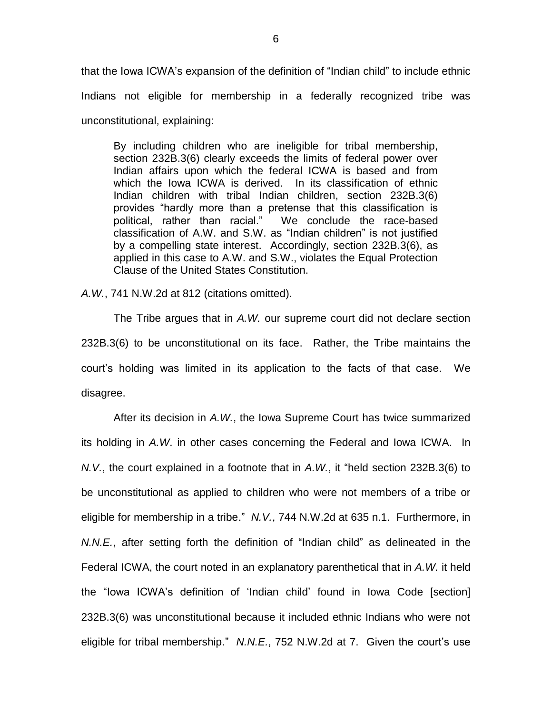that the Iowa ICWA"s expansion of the definition of "Indian child" to include ethnic Indians not eligible for membership in a federally recognized tribe was unconstitutional, explaining:

By including children who are ineligible for tribal membership, section 232B.3(6) clearly exceeds the limits of federal power over Indian affairs upon which the federal ICWA is based and from which the Iowa ICWA is derived. In its classification of ethnic Indian children with tribal Indian children, section 232B.3(6) provides "hardly more than a pretense that this classification is political, rather than racial." We conclude the race-based classification of A.W. and S.W. as "Indian children" is not justified by a compelling state interest. Accordingly, section 232B.3(6), as applied in this case to A.W. and S.W., violates the Equal Protection Clause of the United States Constitution.

*A.W.*, 741 N.W.2d at 812 (citations omitted).

The Tribe argues that in *A.W.* our supreme court did not declare section 232B.3(6) to be unconstitutional on its face. Rather, the Tribe maintains the court"s holding was limited in its application to the facts of that case. We disagree.

After its decision in *A.W.*, the Iowa Supreme Court has twice summarized its holding in *A.W*. in other cases concerning the Federal and Iowa ICWA. In *N.V.*, the court explained in a footnote that in *A.W.*, it "held section 232B.3(6) to be unconstitutional as applied to children who were not members of a tribe or eligible for membership in a tribe." *N.V.*, 744 N.W.2d at 635 n.1. Furthermore, in *N.N.E.*, after setting forth the definition of "Indian child" as delineated in the Federal ICWA, the court noted in an explanatory parenthetical that in *A.W.* it held the "Iowa ICWA"s definition of "Indian child" found in Iowa Code [section] 232B.3(6) was unconstitutional because it included ethnic Indians who were not eligible for tribal membership." *N.N.E.*, 752 N.W.2d at 7. Given the court's use